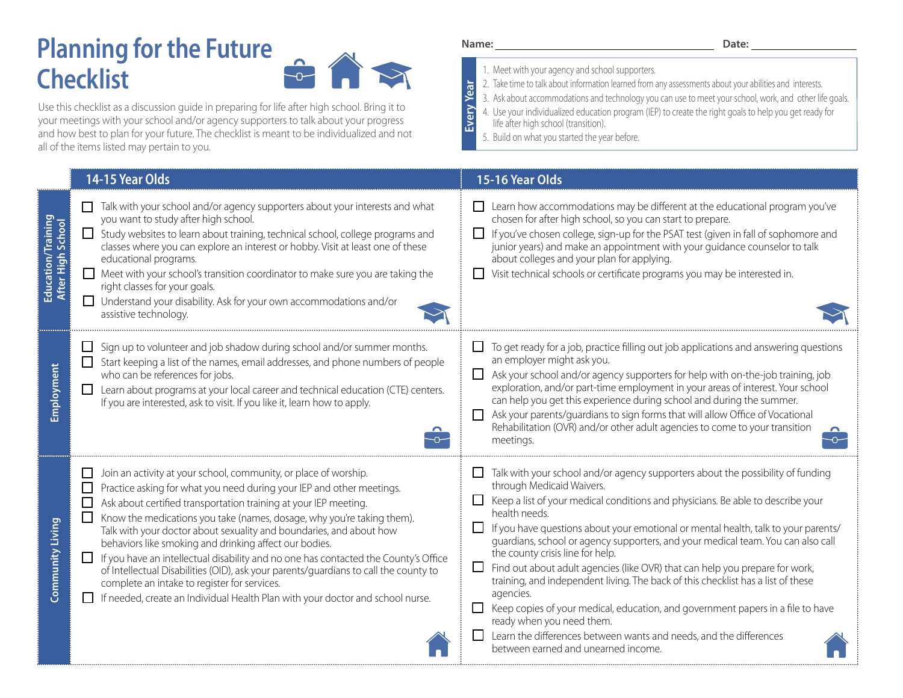## **Planning for the Future Checklist**



Use this checklist as a discussion guide in preparing for life after high school. Bring it to your meetings with your school and/or agency supporters to talk about your progress and how best to plan for your future. The checklist is meant to be individualized and not all of the items listed may pertain to you.

## **14-15 Year Olds 15-16 Year Olds**  $\Box$  Talk with your school and/or agency supporters about your interests and what Learn how accommodations may be different at the educational program you've  **Education/Training**  you want to study after high school. chosen for after high school, so you can start to prepare. Education/Training<br>After High School **After High School**  $\Box$  Study websites to learn about training, technical school, college programs and  $\Box$  If you've chosen college, sign-up for the PSAT test (given in fall of sophomore and classes where you can explore an interest or hobby. Visit at least one of these junior years) and make an appointment with your guidance counselor to talk educational programs. about colleges and your plan for applying. Meet with your school's transition coordinator to make sure you are taking the Visit technical schools or certificate programs you may be interested in. right classes for your goals. Understand your disability. Ask for your own accommodations and/or assistive technology. ------- $\Box$  Sign up to volunteer and job shadow during school and/or summer months.  $\Box$  To get ready for a job, practice filling out job applications and answering questions an employer might ask you.  $\Box$  Start keeping a list of the names, email addresses, and phone numbers of people Employment **Employment** who can be references for jobs. Ask your school and/or agency supporters for help with on-the-job training, job exploration, and/or part-time employment in your areas of interest. Your school Luist Learn about programs at your local career and technical education (CTE) centers. can help you get this experience during school and during the summer. If you are interested, ask to visit. If you like it, learn how to apply. Ask your parents/guardians to sign forms that will allow Office of Vocational Rehabilitation (OVR) and/or other adult agencies to come to your transition  $\overline{C}$  $\overline{\phantom{a}}$ meetings. Join an activity at your school, community, or place of worship. Talk with your school and/or agency supporters about the possibility of funding through Medicaid Waivers. **Practice asking for what you need during your IEP and other meetings.**  $\Box$  Keep a list of your medical conditions and physicians. Be able to describe your Ask about certified transportation training at your IEP meeting. health needs. Know the medications you take (names, dosage, why you're taking them). **Community Living Community Living** Talk with your doctor about sexuality and boundaries, and about how  $\Box$  If you have questions about your emotional or mental health, talk to your parents/ guardians, school or agency supporters, and your medical team. You can also call behaviors like smoking and drinking affect our bodies. the county crisis line for help.  $\Box$  If you have an intellectual disability and no one has contacted the County's Office  $\Box$  Find out about adult agencies (like OVR) that can help you prepare for work, of Intellectual Disabilities (OID), ask your parents/guardians to call the county to training, and independent living. The back of this checklist has a list of these complete an intake to register for services. agencies. **I** If needed, create an Individual Health Plan with your doctor and school nurse.  $\Box$  Keep copies of your medical, education, and government papers in a file to have ready when you need them.  $\Box$  Learn the differences between wants and needs, and the differences between earned and unearned income.

## Name: **Date: Date: Date: Date:**

- 1. Meet with your agency and school supporters.
- **Every Year** 2. Take time to talk about information learned from any assessments about your abilities and interests.

3. Ask about accommodations and technology you can use to meet your school, work, and other life goals.

4. Use your individualized education program (IEP) to create the right goals to help you get ready for

life after high school (transition).

5. Build on what you started the year before.